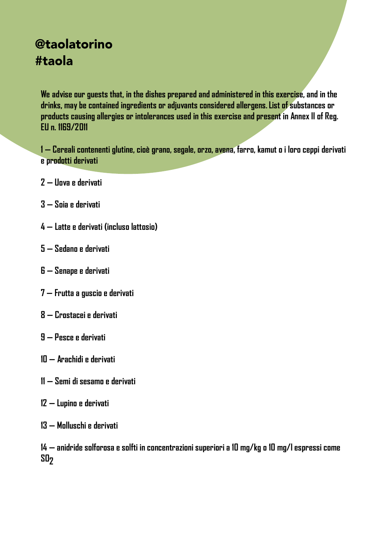# @taolatorino #taola

**We advise our guests that, in the dishes prepared and administered in this exercise, and in the drinks, may be contained ingredients or adjuvants considered allergens.List of substances or products causing allergies or intolerances used in this exercise and present in Annex II of Reg. EU n. 1169/2011**

**— Cereali contenenti glutine, cioè grano, segale, orzo, avena, farro, kamut o i loro ceppi derivati e prodotti derivati** 

- **— Uova e derivati**
- **— Soia e derivati**
- **— Latte e derivati (incluso lattosio)**
- **— Sedano e derivati**
- **— Senape e derivati**
- **— Frutta a guscio e derivati**
- **— Crostacei e derivati**
- **— Pesce e derivati**
- **— Arachidi e derivati**
- **— Semi di sesamo e derivati**
- **— Lupino e derivati**
- **— Molluschi e derivati**

**— anidride solforosa e solfti in concentrazioni superiori a 10 mg/kg o 10 mg/l espressi come SO2**